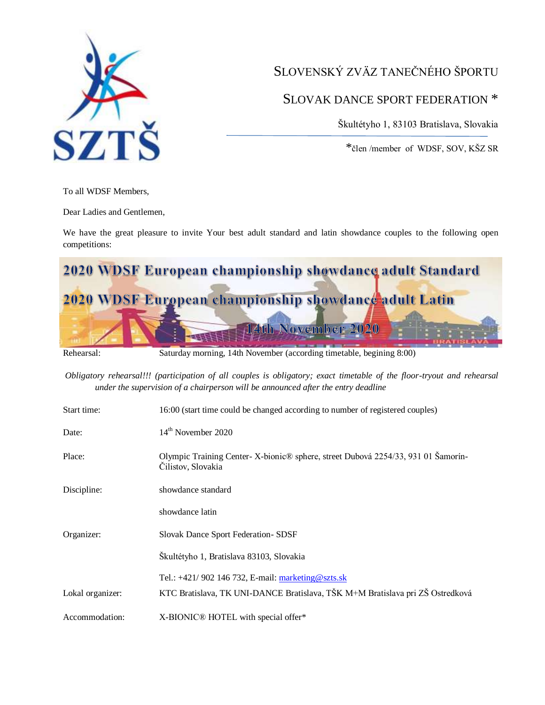

## SLOVENSKÝ ZVÄZ TANEČNÉHO ŠPORTU

## SLOVAK DANCE SPORT FEDERATION \*

Škultétyho 1, 83103 Bratislava, Slovakia

\*člen /member of WDSF, SOV, KŠZ SR

To all WDSF Members,

Dear Ladies and Gentlemen,

We have the great pleasure to invite Your best adult standard and latin showdance couples to the following open competitions:

| 2020 WDSF European championship showdance adult Standard |  |
|----------------------------------------------------------|--|
| 2020 WDSF European championship showdance adult Latin    |  |
|                                                          |  |
| 14th November 2020                                       |  |
|                                                          |  |

Rehearsal: Saturday morning, 14th November (according timetable, begining 8:00)

*Obligatory rehearsal!!! (participation of all couples is obligatory; exact timetable of the floor-tryout and rehearsal under the supervision of a chairperson will be announced after the entry deadline*

| Start time:      | 16:00 (start time could be changed according to number of registered couples)                          |
|------------------|--------------------------------------------------------------------------------------------------------|
| Date:            | $14th$ November 2020                                                                                   |
| Place:           | Olympic Training Center-X-bionic® sphere, street Dubová 2254/33, 931 01 Šamorín-<br>Cilistov, Slovakia |
| Discipline:      | showdance standard                                                                                     |
|                  | showdance latin                                                                                        |
| Organizer:       | Slovak Dance Sport Federation-SDSF                                                                     |
|                  | Škultétyho 1, Bratislava 83103, Slovakia                                                               |
|                  | Tel.: $+421/902$ 146 732, E-mail: marketing @szts.sk                                                   |
| Lokal organizer: | KTC Bratislava, TK UNI-DANCE Bratislava, TŠK M+M Bratislava pri ZŠ Ostredková                          |
| Accommodation:   | X-BIONIC® HOTEL with special offer*                                                                    |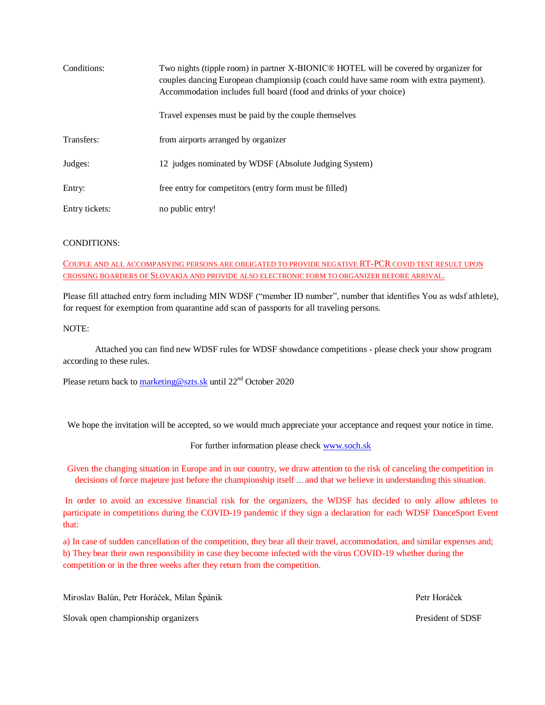| Conditions:    | Two nights (tipple room) in partner X-BIONIC® HOTEL will be covered by organizer for<br>couples dancing European championsip (coach could have same room with extra payment).<br>Accommodation includes full board (food and drinks of your choice) |
|----------------|-----------------------------------------------------------------------------------------------------------------------------------------------------------------------------------------------------------------------------------------------------|
|                | Travel expenses must be paid by the couple themselves                                                                                                                                                                                               |
| Transfers:     | from airports arranged by organizer                                                                                                                                                                                                                 |
| Judges:        | 12 judges nominated by WDSF (Absolute Judging System)                                                                                                                                                                                               |
| Entry:         | free entry for competitors (entry form must be filled)                                                                                                                                                                                              |
| Entry tickets: | no public entry!                                                                                                                                                                                                                                    |

## CONDITIONS:

COUPLE AND ALL ACCOMPANYING PERSONS ARE OBLIGATED TO PROVIDE NEGATIVE RT-PCR COVID TEST RESULT UPON CROSSING BOARDERS OF SLOVAKIA AND PROVIDE ALSO ELECTRONIC FORM TO ORGANIZER BEFORE ARRIVAL.

Please fill attached entry form including MIN WDSF ("member ID number", number that identifies You as wdsf athlete), for request for exemption from quarantine add scan of passports for all traveling persons.

NOTE:

Attached you can find new WDSF rules for WDSF showdance competitions - please check your show program according to these rules.

Please return back to [marketing@szts.sk](mailto:marketing@szts.sk) until  $22<sup>nd</sup>$  October 2020

We hope the invitation will be accepted, so we would much appreciate your acceptance and request your notice in time.

#### For further information please check [www.soch.sk](http://www.soch.sk/)

Given the changing situation in Europe and in our country, we draw attention to the risk of canceling the competition in decisions of force majeure just before the championship itself ... and that we believe in understanding this situation.

In order to avoid an excessive financial risk for the organizers, the WDSF has decided to only allow athletes to participate in competitions during the COVID-19 pandemic if they sign a declaration for each WDSF DanceSport Event that:

a) In case of sudden cancellation of the competition, they bear all their travel, accommodation, and similar expenses and; b) They bear their own responsibility in case they become infected with the virus COVID-19 whether during the competition or in the three weeks after they return from the competition.

Miroslav Balún, Petr Horáček, Milan Špánik Petr Horáček Petr Horáček Slovak open championship organizers **President** of SDSF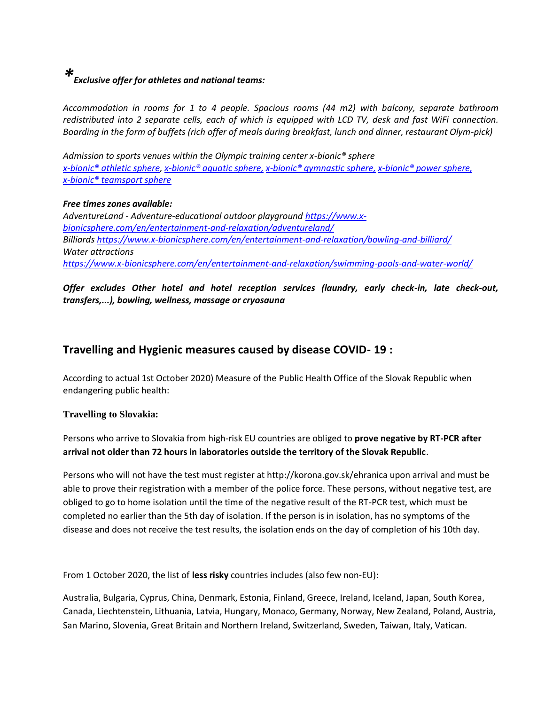# *\*Exclusive offer for athletes and national teams:*

*Accommodation in rooms for 1 to 4 people. Spacious rooms (44 m2) with balcony, separate bathroom redistributed into 2 separate cells, each of which is equipped with LCD TV, desk and fast WiFi connection. Boarding in the form of buffets (rich offer of meals during breakfast, lunch and dinner, restaurant Olym-pick)*

*Admission to sports venues within the Olympic training center x-bionic® sphere x-bionic® [athletic sphere,](https://www.x-bionicsphere.com/en/sport/athletics/) x-[bionic® aquatic sphere](https://www.x-bionicsphere.com/en/sport/swimming/), x-[bionic® gymnastic sphere](https://www.x-bionicsphere.com/en/sport/gymnastics/), x-[bionic® power sphere](https://www.x-bionicsphere.com/en/sport/gym/), x-[bionic® teamsport sphere](https://www.x-bionicsphere.com/en/sport/team-sports/)*

## *Free times zones available: AdventureLand - Adventure-educational outdoor playground [https://www.x](https://www.x-bionicsphere.com/en/entertainment-and-relaxation/adventureland/)[bionicsphere.com/en/entertainment-and-relaxation/adventureland/](https://www.x-bionicsphere.com/en/entertainment-and-relaxation/adventureland/) Billiards<https://www.x-bionicsphere.com/en/entertainment-and-relaxation/bowling-and-billiard/> Water attractions <https://www.x-bionicsphere.com/en/entertainment-and-relaxation/swimming-pools-and-water-world/>*

*Offer excludes Other hotel and hotel reception services (laundry, early check-in, late check-out, transfers,...), bowling, wellness, massage or cryosauna*

## **Travelling and Hygienic measures caused by disease COVID- 19 :**

According to actual 1st October 2020) Measure of the Public Health Office of the Slovak Republic when endangering public health:

## **Travelling to Slovakia:**

Persons who arrive to Slovakia from high-risk EU countries are obliged to **prove negative by RT-PCR after arrival not older than 72 hours in laboratories outside the territory of the Slovak Republic**.

Persons who will not have the test must register at http://korona.gov.sk/ehranica upon arrival and must be able to prove their registration with a member of the police force. These persons, without negative test, are obliged to go to home isolation until the time of the negative result of the RT-PCR test, which must be completed no earlier than the 5th day of isolation. If the person is in isolation, has no symptoms of the disease and does not receive the test results, the isolation ends on the day of completion of his 10th day.

From 1 October 2020, the list of **less risky** countries includes (also few non-EU):

Australia, Bulgaria, Cyprus, China, Denmark, Estonia, Finland, Greece, Ireland, Iceland, Japan, South Korea, Canada, Liechtenstein, Lithuania, Latvia, Hungary, Monaco, Germany, Norway, New Zealand, Poland, Austria, San Marino, Slovenia, Great Britain and Northern Ireland, Switzerland, Sweden, Taiwan, Italy, Vatican.